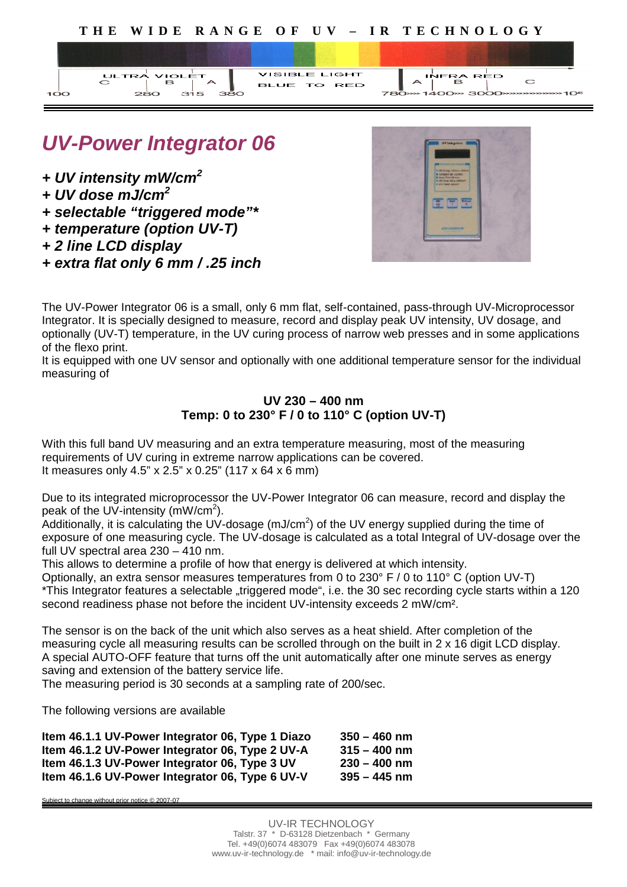



## *UV-Power Integrator 06*

- *+ UV intensity mW/cm<sup>2</sup>*
- *+ UV dose mJ/cm<sup>2</sup>*
- *+ selectable "triggered mode"\**
- *+ temperature (option UV-T)*
- *+ 2 line LCD display*
- *+ extra flat only 6 mm / .25 inch*



 $\overline{C}$ 

The UV-Power Integrator 06 is a small, only 6 mm flat, self-contained, pass-through UV-Microprocessor Integrator. It is specially designed to measure, record and display peak UV intensity, UV dosage, and optionally (UV-T) temperature, in the UV curing process of narrow web presses and in some applications of the flexo print.

It is equipped with one UV sensor and optionally with one additional temperature sensor for the individual measuring of

### **UV 230 – 400 nm Temp: 0 to 230° F / 0 to 110° C (option UV-T)**

With this full band UV measuring and an extra temperature measuring, most of the measuring requirements of UV curing in extreme narrow applications can be covered. It measures only 4.5" x 2.5" x 0.25" (117 x 64 x 6 mm)

Due to its integrated microprocessor the UV-Power Integrator 06 can measure, record and display the peak of the UV-intensity (mW/cm<sup>2</sup>).

Additionally, it is calculating the UV-dosage (mJ/cm<sup>2</sup>) of the UV energy supplied during the time of exposure of one measuring cycle. The UV-dosage is calculated as a total Integral of UV-dosage over the full UV spectral area 230 – 410 nm.

This allows to determine a profile of how that energy is delivered at which intensity.

Optionally, an extra sensor measures temperatures from 0 to 230° F / 0 to 110° C (option UV-T) \*This Integrator features a selectable "triggered mode", i.e. the 30 sec recording cycle starts within a 120 second readiness phase not before the incident UV-intensity exceeds 2 mW/cm².

The sensor is on the back of the unit which also serves as a heat shield. After completion of the measuring cycle all measuring results can be scrolled through on the built in 2 x 16 digit LCD display. A special AUTO-OFF feature that turns off the unit automatically after one minute serves as energy saving and extension of the battery service life.

The measuring period is 30 seconds at a sampling rate of 200/sec.

The following versions are available

| Item 46.1.1 UV-Power Integrator 06, Type 1 Diazo | $350 - 460$ nm |
|--------------------------------------------------|----------------|
| Item 46.1.2 UV-Power Integrator 06, Type 2 UV-A  | $315 - 400$ nm |
| Item 46.1.3 UV-Power Integrator 06, Type 3 UV    | $230 - 400$ nm |
| Item 46.1.6 UV-Power Integrator 06, Type 6 UV-V  | $395 - 445$ nm |

ubject to change without prior notice © 2007-07